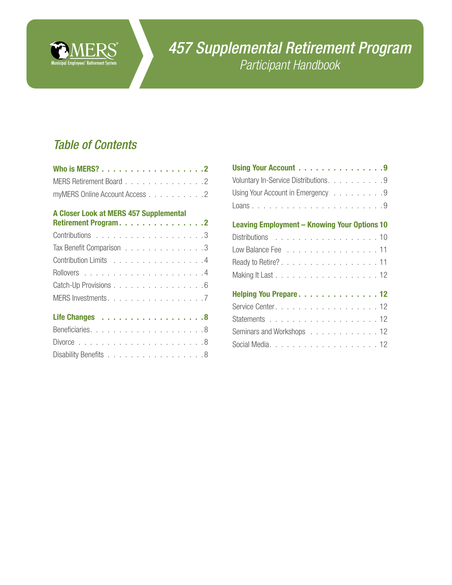

# *457 Supplemental Retirement Program Participant Handbook*

# *Table of Contents*

| MERS Retirement Board 2        |  |  |  |  |  |
|--------------------------------|--|--|--|--|--|
| myMERS Online Account Access 2 |  |  |  |  |  |

## [A Closer Look at MERS 457 Supplemental](#page-1-0)

|  |  |  |  |  |  | Retirement Program. 2<br>Tax Benefit Comparison 3<br>Contribution Limits 4<br>Catch-Up Provisions 6<br>MERS Investments. 7<br>Disability Benefits 8 |
|--|--|--|--|--|--|-----------------------------------------------------------------------------------------------------------------------------------------------------|

| Using Your Account 9                                |
|-----------------------------------------------------|
| Voluntary In-Service Distributions. 9               |
| Using Your Account in Emergency 9                   |
|                                                     |
| <b>Leaving Employment - Knowing Your Options 10</b> |
| Distributions 10                                    |
|                                                     |
| Ready to Retire?. 11                                |
|                                                     |
| Helping You Prepare12                               |
|                                                     |
|                                                     |
| Seminars and Workshops 12                           |
|                                                     |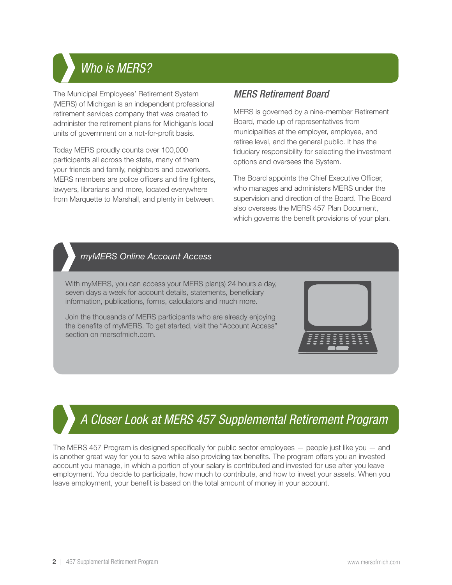# <span id="page-1-0"></span>Who is **M** *Who is MERS?*

The Municipal Employees' Retirement System (MERS) of Michigan is an independent professional retirement services company that was created to administer the retirement plans for Michigan's local units of government on a not-for-profit basis.

Today MERS proudly counts over 100,000 participants all across the state, many of them your friends and family, neighbors and coworkers. MERS members are police officers and fire fighters, lawyers, librarians and more, located everywhere from Marquette to Marshall, and plenty in between.

# *MERS Retirement Board*

MERS is governed by a nine-member Retirement Board, made up of representatives from municipalities at the employer, employee, and retiree level, and the general public. It has the fiduciary responsibility for selecting the investment options and oversees the System.

The Board appoints the Chief Executive Officer, who manages and administers MERS under the supervision and direction of the Board. The Board also oversees the MERS 457 Plan Document, which governs the benefit provisions of your plan.

# *myMERS Online Account Access myMERS Online Account Access*

With myMERS, you can access your MERS plan(s) 24 hours a day, seven days a week for account details, statements, beneficiary information, publications, forms, calculators and much more.

Join the thousands of MERS participants who are already enjoying [the benefits of myMERS. To get started, visit the "Account Access"](http://www.mersofmich.com)  section on mersofmich.com.

# *A Closer Look at MERS 457 Supplemental Retirement Program A Closer Look at MERS 457 Supplemental Retirement Program*

The MERS 457 Program is designed specifically for public sector employees — people just like you — and is another great way for you to save while also providing tax benefits. The program offers you an invested account you manage, in which a portion of your salary is contributed and invested for use after you leave employment. You decide to participate, how much to contribute, and how to invest your assets. When you leave employment, your benefit is based on the total amount of money in your account.

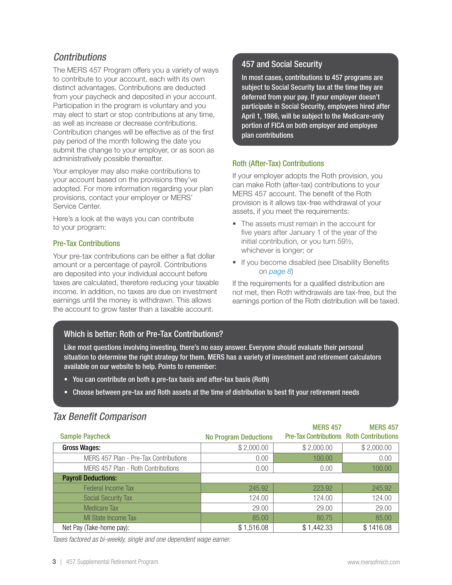# <span id="page-2-0"></span>*Contributions*

The MERS 457 Program offers you a variety of ways to contribute to your account, each with its own distinct advantages. Contributions are deducted from your paycheck and deposited in your account. Participation in the program is voluntary and you may elect to start or stop contributions at any time, as well as increase or decrease contributions. Contribution changes will be effective as of the first pay period of the month following the date you submit the change to your employer, or as soon as administratively possible thereafter.

Your employer may also make contributions to your account based on the provisions they've adopted. For more information regarding your plan provisions, contact your employer or MERS' Service Center.

Here's a look at the ways you can contribute to your program:

#### Pre-Tax Contributions

Your pre-tax contributions can be either a flat dollar amount or a percentage of payroll. Contributions are deposited into your individual account before taxes are calculated, therefore reducing your taxable income. In addition, no taxes are due on investment earnings until the money is withdrawn. This allows the account to grow faster than a taxable account.

## 457 and Social Security

In most cases, contributions to 457 programs are subject to Social Security tax at the time they are deferred from your pay. If your employer doesn't participate in Social Security, employees hired after April 1, 1986, will be subject to the Medicare-only portion of FICA on both employer and employee plan contributions

#### Roth (After-Tax) Contributions

If your employer adopts the Roth provision, you can make Roth (after-tax) contributions to your MERS 457 account. The benefit of the Roth provision is it allows tax-free withdrawal of your assets, if you meet the requirements:

- The assets must remain in the account for five years after January 1 of the year of the initial contribution, or you turn 59½, whichever is longer; or
- If you become disabled (see Disability Benefits on *[page 8](#page-7-0)*)

If the requirements for a qualified distribution are not met, then Roth withdrawals are tax-free, but the earnings portion of the Roth distribution will be taxed.

## Which is better: Roth or Pre-Tax Contributions?

Like most questions involving investing, there's no easy answer. Everyone should evaluate their personal situation to determine the right strategy for them. MERS has a variety of investment and retirement calculators available on our website to help. Points to remember:

- You can contribute on both a pre-tax basis and after-tax basis (Roth)
- Choose between pre-tax and Roth assets at the time of distribution to best fit your retirement needs

## *Tax Benefit Comparison*

|                                       |                              | <b>MERS 457</b>                                 | <b>MERS 457</b> |
|---------------------------------------|------------------------------|-------------------------------------------------|-----------------|
| <b>Sample Paycheck</b>                | <b>No Program Deductions</b> | <b>Pre-Tax Contributions Roth Contributions</b> |                 |
| <b>Gross Wages:</b>                   | \$2,000.00                   | \$2,000.00                                      | \$2,000.00      |
| MERS 457 Plan - Pre-Tax Contributions | 0.00                         | 100.00                                          | 0.00            |
| MERS 457 Plan - Roth Contributions    | 0.00                         | 0.00                                            | 100.00          |
| <b>Payroll Deductions:</b>            |                              |                                                 |                 |
| <b>Federal Income Tax</b>             | 245.92                       | 223.92                                          | 245.92          |
| <b>Social Security Tax</b>            | 124.00                       | 124.00                                          | 124.00          |
| <b>Medicare Tax</b>                   | 29.00                        | 29.00                                           | 29.00           |
| MI State Income Tax                   | 85.00                        | 80.75                                           | 85.00           |
| Net Pay (Take-home pay):              | \$1,516.08                   | \$1,442.33                                      | \$1416.08       |

*Taxes factored as bi-weekly, single and one dependent wage earner.*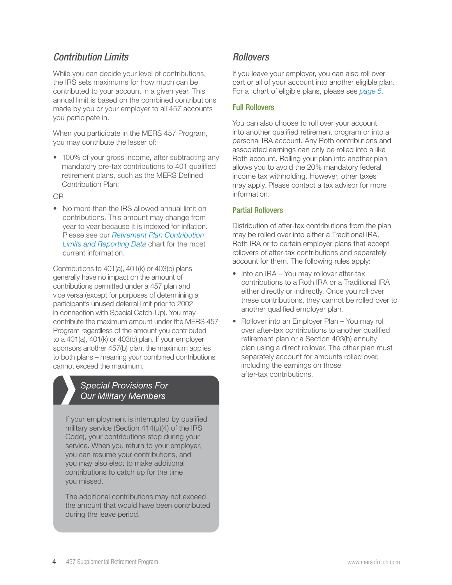# <span id="page-3-0"></span>*Contribution Limits*

While you can decide your level of contributions, the IRS sets maximums for how much can be contributed to your account in a given year. This annual limit is based on the combined contributions made by you or your employer to all 457 accounts you participate in.

When you participate in the MERS 457 Program, you may contribute the lesser of:

• 100% of your gross income, after subtracting any mandatory pre-tax contributions to 401 qualified retirement plans, such as the MERS Defined Contribution Plan;

OR

• No more than the IRS allowed annual limit on contributions. This amount may change from year to year because it is indexed for inflation. Please see our *[Retirement Plan Contribution](https://resources.mersofmich.com/SharePointFormsService/Default.aspx?Publication=RetirementPlanContributionLimitsandReportingData.pdf)  [Limits and Reporting Data](https://resources.mersofmich.com/SharePointFormsService/Default.aspx?Publication=RetirementPlanContributionLimitsandReportingData.pdf)* chart for the most current information.

Contributions to 401(a), 401(k) or 403(b) plans generally have no impact on the amount of contributions permitted under a 457 plan and vice versa (except for purposes of determining a participant's unused deferral limit prior to 2002 in connection with Special Catch-Up). You may contribute the maximum amount under the MERS 457 Program regardless of the amount you contributed to a 401(a), 401(k) or 403(b) plan. If your employer sponsors another 457(b) plan, the maximum applies to both plans – meaning your combined contributions cannot exceed the maximum.

## *Special Provisions For Our Military Members*

If your employment is interrupted by qualified military service (Section 414(u)(4) of the IRS Code), your contributions stop during your service. When you return to your employer, you can resume your contributions, and you may also elect to make additional contributions to catch up for the time you missed.

The additional contributions may not exceed the amount that would have been contributed during the leave period.

# *Rollovers*

If you leave your employer, you can also roll over part or all of your account into another eligible plan. For a chart of eligible plans, please see *[page 5](#page-4-0)*.

### Full Rollovers

You can also choose to roll over your account into another qualified retirement program or into a personal IRA account. Any Roth contributions and associated earnings can only be rolled into a like Roth account. Rolling your plan into another plan allows you to avoid the 20% mandatory federal income tax withholding. However, other taxes may apply. Please contact a tax advisor for more information.

#### Partial Rollovers

Distribution of after-tax contributions from the plan may be rolled over into either a Traditional IRA, Roth IRA or to certain employer plans that accept rollovers of after-tax contributions and separately account for them. The following rules apply:

- Into an IRA You may rollover after-tax contributions to a Roth IRA or a Traditional IRA either directly or indirectly. Once you roll over these contributions, they cannot be rolled over to another qualified employer plan.
- Rollover into an Employer Plan You may roll over after-tax contributions to another qualified retirement plan or a Section 403(b) annuity plan using a direct rollover. The other plan must separately account for amounts rolled over, including the earnings on those after-tax contributions.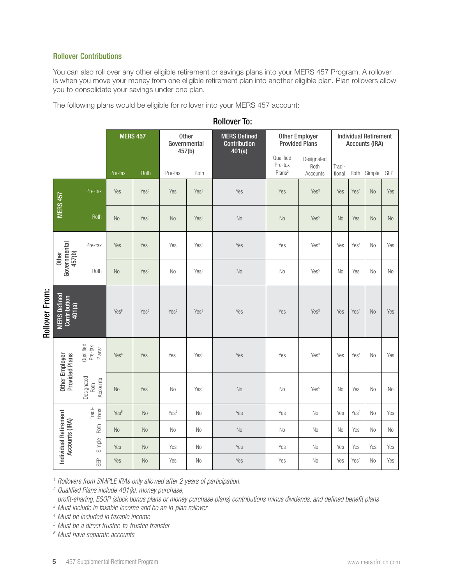#### <span id="page-4-0"></span>Rollover Contributions

You can also roll over any other eligible retirement or savings plans into your MERS 457 Program. A rollover is when you move your money from one eligible retirement plan into another eligible plan. Plan rollovers allow you to consolidate your savings under one plan.

The following plans would be eligible for rollover into your MERS 457 account:

|                |                                                                                                                                                                                                                                                                                                                                                                                                                                                                                                                         |                                            | <b>MERS 457</b>  |                  | Governmental<br>457(b) | <b>Other</b>     | <b>MERS Defined</b><br>Contribution<br>401(a) |                                            | <b>Other Employer</b><br><b>Provided Plans</b> |                  |                  | <b>Individual Retirement</b><br><b>Accounts (IRA)</b> |                |
|----------------|-------------------------------------------------------------------------------------------------------------------------------------------------------------------------------------------------------------------------------------------------------------------------------------------------------------------------------------------------------------------------------------------------------------------------------------------------------------------------------------------------------------------------|--------------------------------------------|------------------|------------------|------------------------|------------------|-----------------------------------------------|--------------------------------------------|------------------------------------------------|------------------|------------------|-------------------------------------------------------|----------------|
|                |                                                                                                                                                                                                                                                                                                                                                                                                                                                                                                                         |                                            | Pre-tax          | Roth             | Pre-tax                | Roth             |                                               | Qualified<br>Pre-tax<br>Plans <sup>2</sup> | Designated<br>Roth<br>Accounts                 | Tradi-<br>tional | Roth             | Simple                                                | <b>SEP</b>     |
|                |                                                                                                                                                                                                                                                                                                                                                                                                                                                                                                                         | Pre-tax                                    | Yes              | Yes <sup>3</sup> | Yes                    | Yes <sup>3</sup> | Yes                                           | Yes                                        | Yes <sup>3</sup>                               | Yes              | Yes <sup>4</sup> | N <sub>o</sub>                                        | Yes            |
|                | <b>MERS 457</b>                                                                                                                                                                                                                                                                                                                                                                                                                                                                                                         | Roth                                       | <b>No</b>        | Yes <sup>5</sup> | <b>No</b>              | Yes <sup>5</sup> | No                                            | N <sub>0</sub>                             | Yes <sup>5</sup>                               | <b>No</b>        | Yes              | N <sub>o</sub>                                        | <b>No</b>      |
|                |                                                                                                                                                                                                                                                                                                                                                                                                                                                                                                                         | Pre-tax                                    | Yes              | Yes <sup>3</sup> | Yes                    | Yes <sup>3</sup> | Yes                                           | Yes                                        | Yes <sup>3</sup>                               | Yes              | Yes <sup>4</sup> | No                                                    | Yes            |
|                | Governmental<br>457(b)<br>Other                                                                                                                                                                                                                                                                                                                                                                                                                                                                                         | Roth                                       | <b>No</b>        | Yes <sup>5</sup> | No                     | Yes <sup>5</sup> | No                                            | N <sub>0</sub>                             | Yes <sup>5</sup>                               | <b>No</b>        | Yes              | N <sub>o</sub>                                        | No             |
| Rollover From: | <b>MERS Defined</b><br>Contribution<br>401(a)                                                                                                                                                                                                                                                                                                                                                                                                                                                                           |                                            | Yes <sup>6</sup> | Yes <sup>3</sup> | Yes <sup>6</sup>       | Yes <sup>3</sup> | Yes                                           | Yes                                        | Yes <sup>3</sup>                               | Yes              | Yes <sup>4</sup> | N <sub>o</sub>                                        | Yes            |
|                |                                                                                                                                                                                                                                                                                                                                                                                                                                                                                                                         | Qualified<br>Pre-tax<br>PlanS <sup>2</sup> | Yes <sup>6</sup> | Yes <sup>3</sup> | Yes <sup>6</sup>       | Yes <sup>3</sup> | Yes                                           | Yes                                        | Yes <sup>3</sup>                               | Yes              | Yes <sup>4</sup> | No                                                    | Yes            |
|                | <b>Other Employer</b><br>Provided Plans                                                                                                                                                                                                                                                                                                                                                                                                                                                                                 | Designated<br>Accounts<br>Roth             | <b>No</b>        | Yes <sup>5</sup> | No                     | Yes <sup>5</sup> | $\rm No$                                      | No                                         | Yes <sup>5</sup>                               | N <sub>0</sub>   | Yes              | No                                                    | N <sub>0</sub> |
|                |                                                                                                                                                                                                                                                                                                                                                                                                                                                                                                                         | Tradi-<br>tional                           | Yes <sup>6</sup> | <b>No</b>        | Yes <sup>6</sup>       | No               | Yes                                           | Yes                                        | N <sub>0</sub>                                 | Yes              | Yes <sup>4</sup> | No                                                    | Yes            |
|                | <b>Individual Retirement</b><br>Accounts (IRA)                                                                                                                                                                                                                                                                                                                                                                                                                                                                          | Roth                                       | <b>No</b>        | <b>No</b>        | No                     | No               | No                                            | No                                         | No                                             | N <sub>0</sub>   | Yes              | No                                                    | No             |
|                |                                                                                                                                                                                                                                                                                                                                                                                                                                                                                                                         | Simple                                     | Yes              | No               | Yes                    | No               | Yes                                           | Yes                                        | No                                             | Yes              | Yes              | Yes                                                   | Yes            |
|                |                                                                                                                                                                                                                                                                                                                                                                                                                                                                                                                         | SEP                                        | Yes              | N <sub>o</sub>   | Yes                    | No               | Yes                                           | Yes                                        | No                                             | Yes              | Yes <sup>4</sup> | No                                                    | Yes            |
|                | <sup>1</sup> Rollovers from SIMPLE IRAs only allowed after 2 years of participation.<br><sup>2</sup> Qualified Plans include 401(k), money purchase,<br>profit-sharing, ESOP (stock bonus plans or money purchase plans) contributions minus dividends, and defined benefit plans<br><sup>3</sup> Must include in taxable income and be an in-plan rollover<br><sup>4</sup> Must be included in taxable income<br><sup>5</sup> Must be a direct trustee-to-trustee transfer<br><sup>6</sup> Must have separate accounts |                                            |                  |                  |                        |                  |                                               |                                            |                                                |                  |                  |                                                       |                |

Rollover To: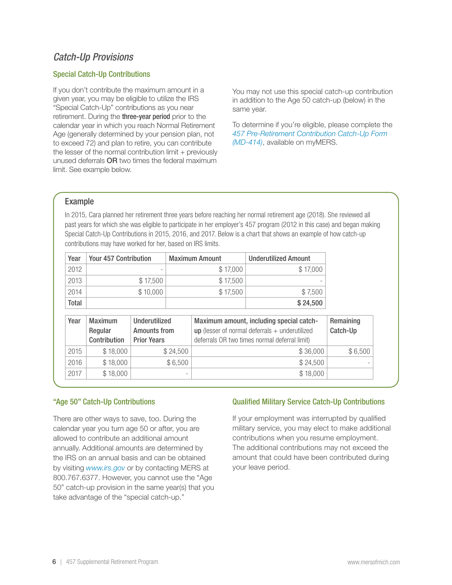# <span id="page-5-0"></span>*Catch-Up Provisions*

#### Special Catch-Up Contributions

If you don't contribute the maximum amount in a given year, you may be eligible to utilize the IRS "Special Catch-Up" contributions as you near retirement. During the three-year period prior to the calendar year in which you reach Normal Retirement Age (generally determined by your pension plan, not to exceed 72) and plan to retire, you can contribute the lesser of the normal contribution limit + previously unused deferrals OR two times the federal maximum limit. See example below.

You may not use this special catch-up contribution in addition to the Age 50 catch-up (below) in the same year.

To determine if you're eligible, please complete the *457 Pre-Retirement Contribution Catch-Up Form ([MD-414](https://resources.mersofmich.com/SharepointFormsService/Default.aspx?FormName=MD-414_ContributionCatchUp.pdf))*, available on myMERS.

#### Example

In 2015, Cara planned her retirement three years before reaching her normal retirement age (2018). She reviewed all past years for which she was eligible to participate in her employer's 457 program (2012 in this case) and began making Special Catch-Up Contributions in 2015, 2016, and 2017. Below is a chart that shows an example of how catch-up contributions may have worked for her, based on IRS limits.

| Year  | <b>Your 457 Contribution</b> | <b>Maximum Amount</b> | <b>Underutilized Amount</b> |
|-------|------------------------------|-----------------------|-----------------------------|
| 2012  |                              | \$17,000              | \$17,000                    |
| 2013  | \$17,500                     | \$17,500              | $\overline{\phantom{0}}$    |
| 2014  | \$10,000                     | \$17,500              | \$7,500                     |
| Total |                              |                       | \$24,500                    |

| Year | <b>Maximum</b><br>Regular<br>Contribution | Underutilized<br><b>Amounts from</b><br><b>Prior Years</b> | Maximum amount, including special catch-<br>$up$ (lesser of normal deferrals $+$ underutilized<br>deferrals OR two times normal deferral limit) | Remaining<br>Catch-Up |
|------|-------------------------------------------|------------------------------------------------------------|-------------------------------------------------------------------------------------------------------------------------------------------------|-----------------------|
| 2015 | \$18,000                                  | \$24,500                                                   | \$36,000                                                                                                                                        | \$6,500               |
| 2016 | \$18,000                                  | \$6,500                                                    | \$24,500                                                                                                                                        |                       |
| 2017 | \$18,000                                  |                                                            | \$18,000                                                                                                                                        |                       |

#### "Age 50" Catch-Up Contributions

There are other ways to save, too. During the calendar year you turn age 50 or after, you are allowed to contribute an additional amount annually. Additional amounts are determined by the IRS on an annual basis and can be obtained by visiting *[www.irs.gov](http://www.irs.gov)* or by contacting MERS at 800.767.6377. However, you cannot use the "Age 50" catch-up provision in the same year(s) that you take advantage of the "special catch-up."

#### Qualified Military Service Catch-Up Contributions

If your employment was interrupted by qualified military service, you may elect to make additional contributions when you resume employment. The additional contributions may not exceed the amount that could have been contributed during your leave period.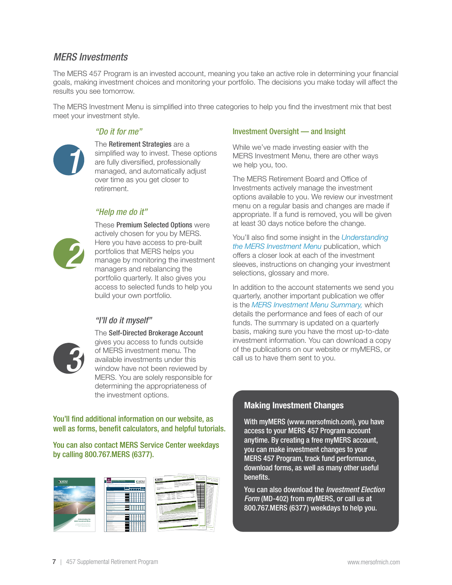## <span id="page-6-0"></span>*MERS Investments*

The MERS 457 Program is an invested account, meaning you take an active role in determining your financial goals, making investment choices and monitoring your portfolio. The decisions you make today will affect the results you see tomorrow.

The MERS Investment Menu is simplified into three categories to help you find the investment mix that best meet your investment style.



The Retirement Strategies are a [simplified way to invest. These options](http://www.mersofmich.com/MERS/About-MERS/Investments/Retirement-Strategies)  are fully diversified, professionally managed, and automatically adjust over time as you get closer to retirement.

## *"Help me do it"*



*1*

These Premium Selected Options were actively chosen for you by MERS. Here you have access to pre-built portfolios that MERS helps you [manage by monitoring the investment](http://www.mersofmich.com/MERS/About-MERS/Investments/Premium-Select)  managers and rebalancing the portfolio quarterly. It also gives you access to selected funds to help you build your own portfolio.

## *"I'll do it myself"*



The Self-Directed Brokerage Account gives you access to funds outside of MERS investment menu. The available investments under this window have not been reviewed by [MERS. You are solely responsible for](http://www.mersofmich.com/MERS/About-MERS/Investments/Self-Directed-Brokerage-Account)  determining the appropriateness of the investment options.

You'll find additional information on our website, as well as forms, benefit calculators, and helpful tutorials.

You can also contact MERS Service Center weekdays by calling 800.767.MERS (6377).



#### Investment Oversight — and Insight

While we've made investing easier with the MERS Investment Menu, there are other ways we help you, too.

The MERS Retirement Board and Office of Investments actively manage the investment options available to you. We review our investment menu on a regular basis and changes are made if appropriate. If a fund is removed, you will be given at least 30 days notice before the change.

You'll also find some insight in the *[Understanding](https://resources.mersofmich.com/SharePointFormsService/Default.aspx?Publication=InvestmentsMenuBook_web.pdf)  [the MERS Investment Menu](https://resources.mersofmich.com/SharePointFormsService/Default.aspx?Publication=InvestmentsMenuBook_web.pdf)* publication, which offers a closer look at each of the investment sleeves, instructions on changing your investment selections, glossary and more.

In addition to the account statements we send you quarterly, another important publication we offer is the *[MERS Investment Menu Summary,](https://resources.mersofmich.com/SharepointFormsService/Default.aspx?SummarySheet=FundFeeSummary.pdf)* which details the performance and fees of each of our funds. The summary is updated on a quarterly basis, making sure you have the most up-to-date investment information. You can download a copy of the publications on our website or myMERS, or call us to have them sent to you.

## Making Investment Changes

With myMERS ([www.mersofmich.com](http://www.mersofmich.com)), you have access to your MERS 457 Program account anytime. By creating a free myMERS account, you can make investment changes to your MERS 457 Program, track fund performance, download forms, as well as many other useful benefits.

You can also download the *Investment Election Form* ([MD-402](https://resources.mersofmich.com/SharepointFormsService/Default.aspx?FormName=MD-402_457PayrollInvestmentElection.pdf)) from myMERS, or call us at 800.767.MERS (6377) weekdays to help you.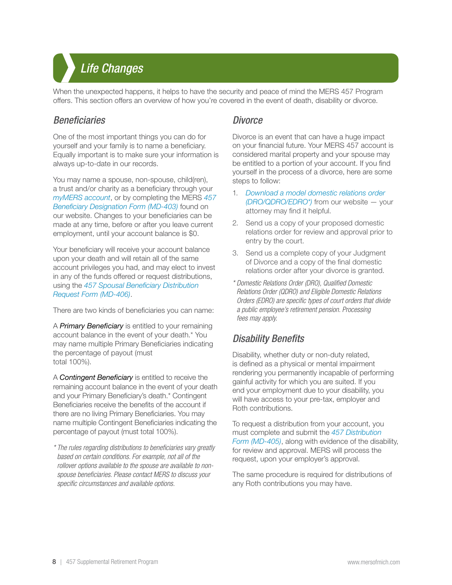<span id="page-7-0"></span>*Life Changes Life Changes*

When the unexpected happens, it helps to have the security and peace of mind the MERS 457 Program offers. This section offers an overview of how you're covered in the event of death, disability or divorce.

## *Beneficiaries*

One of the most important things you can do for yourself and your family is to name a beneficiary. Equally important is to make sure your information is always up-to-date in our records.

You may name a spouse, non-spouse, child(ren), a trust and/or charity as a beneficiary through your *[myMERS account](http://www.mersofmich.com/MERS/Resources/Log-In)*, or by completing the MERS *[457](https://resources.mersofmich.com/SharepointFormsService/Default.aspx?FormName=MD-703_DC457BeneficiaryDesignation.pdf)  [Beneficiary Designation Form \(MD-403\)](https://resources.mersofmich.com/SharepointFormsService/Default.aspx?FormName=MD-703_DC457BeneficiaryDesignation.pdf)* found on our website. Changes to your beneficiaries can be made at any time, before or after you leave current employment, until your account balance is \$0.

Your beneficiary will receive your account balance upon your death and will retain all of the same account privileges you had, and may elect to invest in any of the funds offered or request distributions, using the *[457 Spousal Beneficiary Distribution](https://resources.mersofmich.com/SharepointFormsService/Default.aspx?FormName=MD-406_457SpousalBeneficiaryClaimRequest.pdf)  [Request Form \(MD-406\)](https://resources.mersofmich.com/SharepointFormsService/Default.aspx?FormName=MD-406_457SpousalBeneficiaryClaimRequest.pdf)*.

There are two kinds of beneficiaries you can name:

A *Primary Beneficiary* is entitled to your remaining account balance in the event of your death.\* You may name multiple Primary Beneficiaries indicating the percentage of payout (must total 100%).

A *Contingent Beneficiary* is entitled to receive the remaining account balance in the event of your death and your Primary Beneficiary's death.\* Contingent Beneficiaries receive the benefits of the account if there are no living Primary Beneficiaries. You may name multiple Contingent Beneficiaries indicating the percentage of payout (must total 100%).

*\* The rules regarding distributions to beneficiaries vary greatly based on certain conditions. For example, not all of the rollover options available to the spouse are available to nonspouse beneficiaries. Please contact MERS to discuss your specific circumstances and available options.*

## *Divorce*

Divorce is an event that can have a huge impact on your financial future. Your MERS 457 account is considered marital property and your spouse may be entitled to a portion of your account. If you find yourself in the process of a divorce, here are some steps to follow:

- 1. *[Download a model domestic relations order](https://resources.mersofmich.com/SharepointFormsService/Default.aspx?FormName=form_73.pdf)  [\(DRO/QDRO/EDRO\\*\)](https://resources.mersofmich.com/SharepointFormsService/Default.aspx?FormName=form_73.pdf)* from our website — your attorney may find it helpful.
- 2. Send us a copy of your proposed domestic relations order for review and approval prior to entry by the court.
- 3. Send us a complete copy of your Judgment of Divorce and a copy of the final domestic relations order after your divorce is granted.
- *\* Domestic Relations Order (DRO), Qualified Domestic Relations Order (QDRO) and Eligible Domestic Relations Orders (EDRO) are specific types of court orders that divide a public employee's retirement pension. Processing fees may apply.*

# *Disability Benefits*

Disability, whether duty or non-duty related, is defined as a physical or mental impairment rendering you permanently incapable of performing gainful activity for which you are suited. If you end your employment due to your disability, you will have access to your pre-tax, employer and Roth contributions.

To request a distribution from your account, you must complete and submit the *[457 Distribution](https://resources.mersofmich.com/SharepointFormsService/Default.aspx?FormName=MD-405_457Distribution.pdf)  [Form \(MD-405\)](https://resources.mersofmich.com/SharepointFormsService/Default.aspx?FormName=MD-405_457Distribution.pdf)*, along with evidence of the disability, for review and approval. MERS will process the request, upon your employer's approval.

The same procedure is required for distributions of any Roth contributions you may have.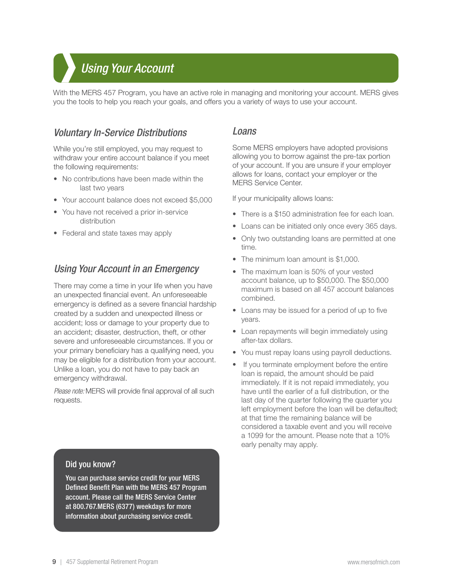## <span id="page-8-0"></span>Using *Your Account 2014 Using Your Account*

With the MERS 457 Program, you have an active role in managing and monitoring your account. MERS gives you the tools to help you reach your goals, and offers you a variety of ways to use your account.

## *Voluntary In-Service Distributions*

While you're still employed, you may request to withdraw your entire account balance if you meet the following requirements:

- No contributions have been made within the last two years
- Your account balance does not exceed \$5,000
- You have not received a prior in-service distribution
- Federal and state taxes may apply

# *Using Your Account in an Emergency*

There may come a time in your life when you have an unexpected financial event. An unforeseeable emergency is defined as a severe financial hardship created by a sudden and unexpected illness or accident; loss or damage to your property due to an accident; disaster, destruction, theft, or other severe and unforeseeable circumstances. If you or your primary beneficiary has a qualifying need, you may be eligible for a distribution from your account. Unlike a loan, you do not have to pay back an emergency withdrawal.

*Please note:* MERS will provide final approval of all such requests.

## *Loans*

Some MERS employers have adopted provisions allowing you to borrow against the pre-tax portion of your account. If you are unsure if your employer allows for loans, contact your employer or the MERS Service Center.

If your municipality allows loans:

- There is a \$150 administration fee for each loan.
- Loans can be initiated only once every 365 days.
- Only two outstanding loans are permitted at one time.
- The minimum loan amount is \$1,000.
- The maximum loan is 50% of your vested account balance, up to \$50,000. The \$50,000 maximum is based on all 457 account balances combined.
- Loans may be issued for a period of up to five years.
- Loan repayments will begin immediately using after-tax dollars.
- You must repay loans using payroll deductions.
- If you terminate employment before the entire loan is repaid, the amount should be paid immediately. If it is not repaid immediately, you have until the earlier of a full distribution, or the last day of the quarter following the quarter you left employment before the loan will be defaulted; at that time the remaining balance will be considered a taxable event and you will receive a 1099 for the amount. Please note that a 10% early penalty may apply.

#### Did you know?

You can purchase service credit for your MERS Defined Benefit Plan with the MERS 457 Program account. Please call the MERS Service Center at 800.767.MERS (6377) weekdays for more information about purchasing service credit.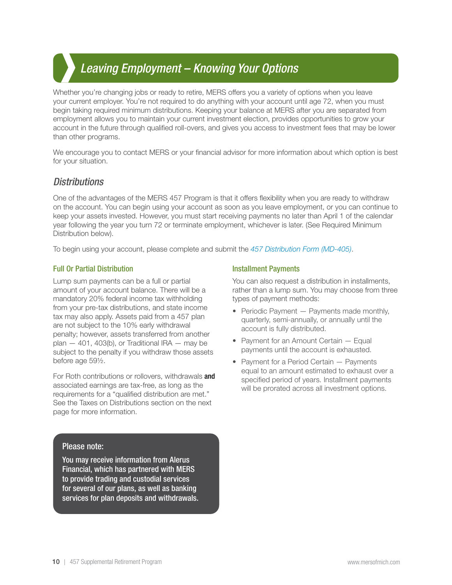## <span id="page-9-0"></span>*Leaving Employment – Knowing Your Options Leaving Employment – Knowing Your Options*

Whether you're changing jobs or ready to retire, MERS offers you a variety of options when you leave your current employer. You're not required to do anything with your account until age 72, when you must begin taking required minimum distributions. Keeping your balance at MERS after you are separated from employment allows you to maintain your current investment election, provides opportunities to grow your account in the future through qualified roll-overs, and gives you access to investment fees that may be lower than other programs.

We encourage you to contact MERS or your financial advisor for more information about which option is best for your situation.

## *Distributions*

One of the advantages of the MERS 457 Program is that it offers flexibility when you are ready to withdraw on the account. You can begin using your account as soon as you leave employment, or you can continue to keep your assets invested. However, you must start receiving payments no later than April 1 of the calendar year following the year you turn 72 or terminate employment, whichever is later. (See Required Minimum Distribution below).

To begin using your account, please complete and submit the *457 Distribution Form ([MD-405\)](https://resources.mersofmich.com/SharepointFormsService/Default.aspx?FormName=MD-405_457Distribution.pdf)*.

#### Full Or Partial Distribution

Lump sum payments can be a full or partial amount of your account balance. There will be a mandatory 20% federal income tax withholding from your pre-tax distributions, and state income tax may also apply. Assets paid from a 457 plan are not subject to the 10% early withdrawal penalty; however, assets transferred from another plan  $-$  401, 403(b), or Traditional IRA  $-$  may be subject to the penalty if you withdraw those assets before age 59½.

For Roth contributions or rollovers, withdrawals **and** associated earnings are tax-free, as long as the requirements for a "qualified distribution are met." See the Taxes on Distributions section on the next page for more information.

#### Please note:

You may receive information from Alerus Financial, which has partnered with MERS to provide trading and custodial services for several of our plans, as well as banking services for plan deposits and withdrawals.

#### Installment Payments

You can also request a distribution in installments, rather than a lump sum. You may choose from three types of payment methods:

- Periodic Payment Payments made monthly, quarterly, semi-annually, or annually until the account is fully distributed.
- Payment for an Amount Certain Equal payments until the account is exhausted.
- Payment for a Period Certain Payments equal to an amount estimated to exhaust over a specified period of years. Installment payments will be prorated across all investment options.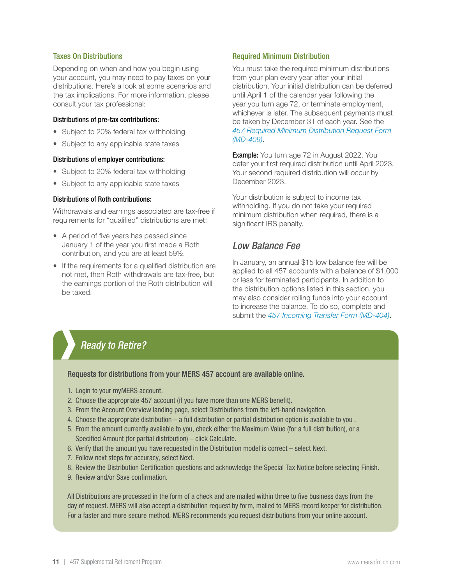#### <span id="page-10-0"></span>Taxes On Distributions

Depending on when and how you begin using your account, you may need to pay taxes on your distributions. Here's a look at some scenarios and the tax implications. For more information, please consult your tax professional:

#### Distributions of pre-tax contributions:

- Subject to 20% federal tax withholding
- Subject to any applicable state taxes

#### Distributions of employer contributions:

- Subject to 20% federal tax withholding
- Subject to any applicable state taxes

#### Distributions of Roth contributions:

Withdrawals and earnings associated are tax-free if requirements for "qualified" distributions are met:

- A period of five years has passed since January 1 of the year you first made a Roth contribution, and you are at least 59½.
- If the requirements for a qualified distribution are not met, then Roth withdrawals are tax-free, but the earnings portion of the Roth distribution will be taxed.

#### Required Minimum Distribution

You must take the required minimum distributions from your plan every year after your initial distribution. Your initial distribution can be deferred until April 1 of the calendar year following the year you turn age 72, or terminate employment, whichever is later. The subsequent payments must be taken by December 31 of each year. See the *[457 Required Minimum Distribution Request Form](https://resources.mersofmich.com/SharepointFormsService/Default.aspx?FormName=MD-409_457RequiredMinimumDistributionRequest.pdf)  [\(MD-409\)](https://resources.mersofmich.com/SharepointFormsService/Default.aspx?FormName=MD-409_457RequiredMinimumDistributionRequest.pdf)*.

**Example:** You turn age 72 in August 2022. You defer your first required distribution until April 2023. Your second required distribution will occur by December 2023.

Your distribution is subject to income tax withholding. If you do not take your required minimum distribution when required, there is a significant IRS penalty.

## *Low Balance Fee*

In January, an annual \$15 low balance fee will be applied to all 457 accounts with a balance of \$1,000 or less for terminated participants. In addition to the distribution options listed in this section, you may also consider rolling funds into your account to increase the balance. To do so, complete and submit the *[457 Incoming Transfer Form \(MD-404\)](https://resources.mersofmich.com/SharepointFormsService/Default.aspx?FormName=MD-404_457IncomingDirectRollover.pdf)*.

# *Ready to Retire?*

Requests for distributions from your MERS 457 account are available online.

- 1. Login to your myMERS account.
- 2. Choose the appropriate 457 account (if you have more than one MERS benefit).
- 3. From the Account Overview landing page, select Distributions from the left-hand navigation.
- 4. Choose the appropriate distribution a full distribution or partial distribution option is available to you .
- 5. From the amount currently available to you, check either the Maximum Value (for a full distribution), or a Specified Amount (for partial distribution) – click Calculate.
- 6. Verify that the amount you have requested in the Distribution model is correct select Next.
- 7. Follow next steps for accuracy, select Next.
- 8. Review the Distribution Certification questions and acknowledge the Special Tax Notice before selecting Finish.
- 9. Review and/or Save confirmation.

All Distributions are processed in the form of a check and are mailed within three to five business days from the day of request. MERS will also accept a distribution request by form, mailed to MERS record keeper for distribution. For a faster and more secure method, MERS recommends you request distributions from your online account.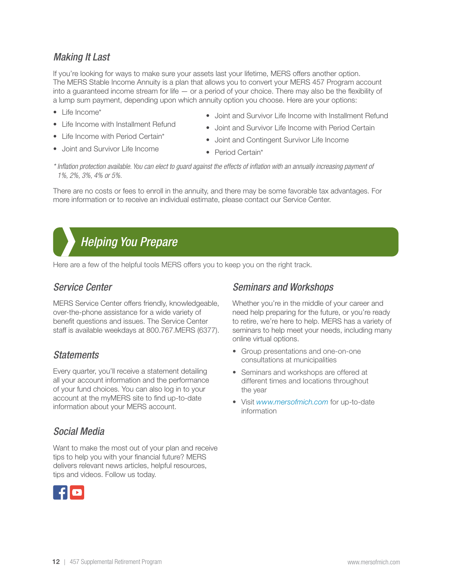# <span id="page-11-0"></span>*Making It Last*

If you're looking for ways to make sure your assets last your lifetime, MERS offers another option. The MERS Stable Income Annuity is a plan that allows you to convert your MERS 457 Program account into a guaranteed income stream for life — or a period of your choice. There may also be the flexibility of a lump sum payment, depending upon which annuity option you choose. Here are your options:

- Life Income\*
- Life Income with Installment Refund
- Life Income with Period Certain\*
- Joint and Survivor Life Income
- Joint and Survivor Life Income with Installment Refund
- Joint and Survivor Life Income with Period Certain
- Joint and Contingent Survivor Life Income
- Period Certain\*

*\* Inflation protection available. You can elect to guard against the effects of inflation with an annually increasing payment of 1%, 2%, 3%, 4% or 5%.*

There are no costs or fees to enroll in the annuity, and there may be some favorable tax advantages. For more information or to receive an individual estimate, please contact our Service Center.

# *Helping You Prepare Helping You Prepare*

Here are a few of the helpful tools MERS offers you to keep you on the right track.

# *Service Center*

MERS Service Center offers friendly, knowledgeable, over-the-phone assistance for a wide variety of benefit questions and issues. The Service Center staff is available weekdays at 800.767.MERS (6377).

# *Statements*

Every quarter, you'll receive a statement detailing all your account information and the performance of your fund choices. You can also log in to your account at the myMERS site to find up-to-date information about your MERS account.

# *Social Media*

Want to make the most out of your plan and receive tips to help you with your financial future? MERS delivers relevant news articles, helpful resources, tips and videos. Follow us today.



# *Seminars and Workshops*

Whether you're in the middle of your career and need help preparing for the future, or you're ready to retire, we're here to help. MERS has a variety of seminars to help meet your needs, including many online virtual options.

- Group presentations and one-on-one consultations at municipalities
- Seminars and workshops are offered at different times and locations throughout the year
- Visit *[www.mersofmich.com](https://www.mersofmich.com/MERS/Resources/Events/)* for up-to-date information